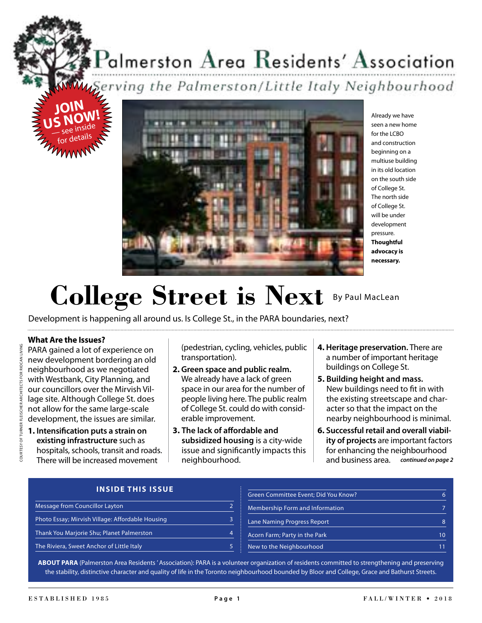# $P$ almerston  $\rm A$ rea  $\rm R$ esidents'  $\rm A$ ssociation

**U**Serving the Palmerston/Little Italy Neighbourhood





Already we have seen a new home for the LCBO and construction beginning on a multiuse building in its old location on the south side of College St. The north side of College St. will be under development pressure. **Thoughtful advocacy is necessary.**

# College Street is Next By Paul MacLean

Development is happening all around us. Is College St., in the PARA boundaries, next?

#### **What Are the Issues?**

PARA gained a lot of experience on new development bordering an old neighbourhood as we negotiated with Westbank, City Planning, and our councillors over the Mirvish Village site. Although College St. does not allow for the same large-scale development, the issues are similar.

**1. Intensifcation puts a strain on existing infrastructure** such as hospitals, schools, transit and roads. There will be increased movement

(pedestrian, cycling, vehicles, public transportation).

- **2. Green space and public realm.** We already have a lack of green space in our area for the number of people living here. The public realm of College St. could do with considerable improvement.
- **3. The lack of afordable and subsidized housing** is a city-wide issue and signifcantly impacts this neighbourhood.
- **4. Heritage preservation.** There are a number of important heritage buildings on College St.
- **5. Building height and mass.** New buildings need to ft in with the existing streetscape and character so that the impact on the nearby neighbourhood is minimal.
- *continued on page 2* and business area.**6. Successful retail and overall viability of projects** are important factors for enhancing the neighbourhood

#### **INSIDE THIS ISSUE**

|                                                  | Green Committee Event; Did You Know? |    |
|--------------------------------------------------|--------------------------------------|----|
| Message from Councillor Layton                   | Membership Form and Information      |    |
| Photo Essay; Mirvish Village: Affordable Housing | Lane Naming Progress Report          |    |
| Thank You Marjorie Shu; Planet Palmerston        | Acorn Farm; Party in the Park        | 10 |
| The Riviera, Sweet Anchor of Little Italy        | New to the Neighbourhood             | 11 |

**ABOUT PARA** (Palmerston Area Residents ' Association): PARA is a volunteer organization of residents committed to strengthening and preserving the stability, distinctive character and quality of life in the Toronto neighbourhood bounded by Bloor and College, Grace and Bathurst Streets.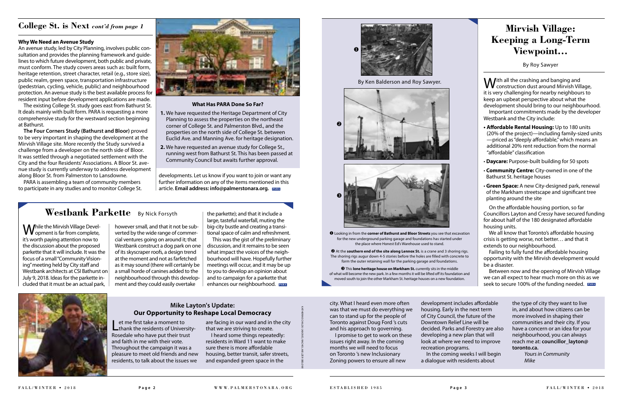#### **What Has PARA Done So Far?**

- **1.** We have requested the Heritage Department of City Planning to assess the properties on the northeast corner of College St. and Palmerston Blvd., and the properties on the north side of College St. between Euclid Ave. and Manning Ave. for heritage designation.
- **2.** We have requested an avenue study for College St., running west from Bathurst St. This has been passed at Community Council but awaits further approval.

#### **Why We Need an Avenue Study**

An avenue study, led by City Planning, involves public consultation and provides the planning framework and guidelines to which future development, both public and private, must conform. The study covers areas such as: built form, heritage retention, street character, retail (e.g., store size), public realm, green space, transportation infrastructure (pedestrian, cycling, vehicle, public) and neighbourhood protection. An avenue study is the best available process for resident input before development applications are made.

The existing College St. study goes east from Bathurst St. It deals mainly with built form. PARA is requesting a more comprehensive study for the westward section beginning at Bathurst.

**W** ith all the crashing and banging and<br>
construction dust around Mirvish Village, it is very challenging for nearby neighbours to keep an upbeat perspective about what the development should bring to our neighbourhood.

**The Four Corners Study (Bathurst and Bloor)** proved to be very important in shaping the development at the Mirvish Village site. More recently the Study survived a challenge from a developer on the north side of Bloor. It was settled through a negotiated settlement with the City and the four Residents' Associations. A Bloor St. avenue study is currently underway to address development along Bloor St. from Palmerston to Lansdowne.

> On the affordable housing portion, so far Councillors Layton and Cressy have secured funding for about half of the 180 designated affordable housing units.

We all know that Toronto's affordable housing crisis is getting worse, not better… and that it extends to our neighbourhood.

Failing to fully fund the affordable housing opportunity with the Mirvish development would be a disaster.

PARA is assembling a team of community members to participate in any studies and to monitor College St.



Let me first take a moment to<br>
thank the residents of University-Rosedale who have put their trust and faith in me with their vote. Throughout the campaign it was a pleasure to meet old friends and new residents, to talk about the issues we

### **College St. is Next** *cont'd from page 1*

development includes affordable decided. Parks and Forestry are also look at where we need to improve

Important commitments made by the developer Westbank and the City include:

- **t Afordable Rental Housing:** Up to 180 units (20% of the project)—including family-sized units —priced as "deeply afordable," which means an additional 20% rent reduction from the normal "afordable" classifcation
- **· Daycare:** Purpose-built building for 50 spots
- **Community Centre:** City-owned in one of the Bathurst St. heritage houses
- **· Green Space:** A new City-designed park, renewal of the Markham streetscape and signifcant tree planting around the site

 $\Theta$  At the **southern end of the site along Lennox St.** is a crane and 3 shoring rigs. The shoring rigs augur down 4-5 stories before the holes are flled with concrete to form the outer retaining wall for the parking garage and foundations.

 $\Theta$  This lone heritage house on Markham St. currently sits in the middle of what will become the new park. In a few months it will be lifted off its foundation and moved south to join the other Markham St. heritage houses on a new foundation.

While the Mirvish Village Devel-<br>
Wopment is far from complete, it's worth paying attention now to the discussion about the proposed parkette that it will include. It was the focus of a small "Community Visioning" meeting held by City staff and Westbank architects at CSI Bathurst on July 9, 2018. Ideas for the parkette included that it must be an actual park,

This was the gist of the preliminary discussion, and it remains to be seen what impact the voices of the neighbourhood will have. Hopefully further meetings will occur, and it may be up to you to develop an opinion about and to campaign for a parkette that enhances our neighbourhood. **EARA** 



developments. Let us know if you want to join or want any further information on any of the items mentioned in this article. **Email address: info@palmerstonara.org. PARA**

## **Mirvish Village: Keeping a Long-Term Viewpoint...**

By Roy Sawyer

are facing in our ward and in the city that we are striving to create.

I heard some things repeatedly: residents in Ward 11 want to make sure there is more affordable housing, better transit, safer streets, and expanded green space in the

#### **Mike Layton's Update: Our Opportunity to Reshape Local Democracy**

city. What I heard even more often was that we must do everything we can to stand up for the people of Toronto against Doug Ford 's cuts and his approach to governing.

Between now and the opening of Mirvish Village we can all expect to hear much more on this as we seek to secure 100% of the funding needed. **PARA PARA**

> I promise to get to work on these issues right away. In the coming months we will need to focus on Toronto 's new Inclusionary Zoning powers to ensure all new

housing. Early in the next term of City Council, the future of the Downtown Relief Line will be developing a new plan that will recreation programs.

In the coming weeks I will begin a dialogue with residents about

the type of city they want to live in, and about how citizens can be more involved in shaping their communities and their city. If you have a concern or an idea for your neighbourhood, you can always reach me at: **councillor\_layton@ toronto.ca.** *Yours in Community*

*Mike*

u Looking in from the **corner of Bathurst and Bloor Streets** you see that excavation for the new underground parking garage and foundations has started under the place where Honest Ed's Warehouse used to stand.

however small, and that it not be subverted by the wide range of commercial ventures going on around it; that Westbank construct a dog park on one of its skyscraper roofs, a design trend at the moment and not as farfetched as it may sound (there will certainly be a small horde of canines added to the neighbourhood through this development and they could easily overtake

the parkette); and that it include a large, tasteful waterfall, muting the big-city bustle and creating a transitional space of calm and refreshment.

## **Westbank Parkette** By Nick Forsyth





By Ken Balderson and Roy Sawyer.

KATHERINE CHILDS

ABOVE

; RACHEL MELZER

BELOW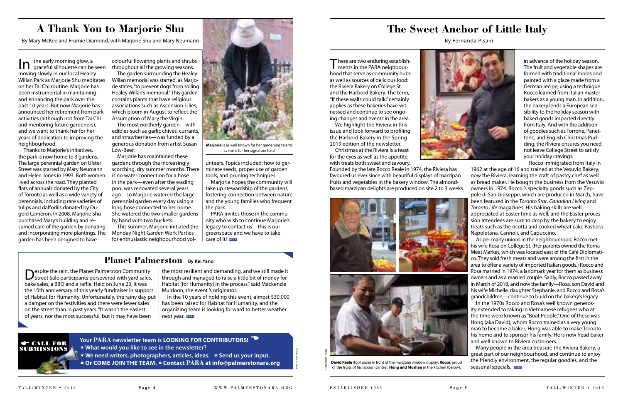



In the early morning glow, a<br>In graceful silhouette can be seen moving slowly in our local Healey Willan Park as Marjorie Shu meditates on her Tai Chi routine. Marjorie has been instrumental in maintaining and enhancing the park over the past 10 years. But now Marjorie has announced her retirement from park activities (although not from Tai Chi and mentoring future gardeners), and we want to thank her for her years of dedication to improving the neighbourhood.

Thanks to Marjorie's initiatives, the park is now home to 3 gardens. The large perennial garden on Ulster Street was started by Mary Neumann and Helen Jones in 1993. Both women lived across the road. They planted fats of annuals donated by the City of Toronto as well as a wide variety of perennials, including rare varieties of tulips and dafodils donated by Dugold Cameron. In 2008, Marjorie Shu purchased Mary's building and resumed care of the garden by donating and incorporating more plantings. The garden has been designed to have

colourful fowering plants and shrubs throughout all the growing seasons.

The garden surrounding the Healey Willan memorial was started, as Marjorie states, "to prevent dogs from soiling Healey Willan's memorial." This garden contains plants that have religious associations such as Ascension Lilies, which bloom in August to refect the Assumption of Mary the Virgin.

The most northerly garden—with edibles such as garlic chives, currants, and strawberries—was funded by a generous donation from artist Susan Low-Beer.

 $\blacksquare$  here are two enduring establishments in the PARA neighbourhood that serve as community hubs as well as sources of delicious food: the Riviera Bakery on College St. and the Harbord Bakery. The term, "If these walls could talk," certainly applies as these bakeries have witnessed and continue to see ongoing changes and events in the area.

Marjorie has maintained these gardens through the increasingly scorching, dry summer months. There is no water connection for a hose in the park—even after the wading pool was renovated several years ago—so Marjorie watered the large perennial garden every day using a long hose connected to her home. She watered the two smaller gardens by hand with two buckets.

This summer, Marjorie initiated the Monday Night Garden Work Parties for enthusiastic neighbourhood vol-

unteers. Topics included: how to germinate seeds, proper use of garden tools, and pruning techniques.

Marjorie hopes the community will take up stewardship of the gardens, fostering connection between nature and the young families who frequent

the park.

PARA invites those in the community who wish to continue Marjorie's legacy to contact us—this is our greenspace and we have to take

**Your PARA newsletter team is LOOKING FOR CONTRIBUTORS!** D ¬**What would you like to see in the newsletter?** ¬**We need writers, photographers, articles, ideas.** ¬**Send us your input.** ¬**Or COME JOIN THE TEAM.**¬**Contact PARA at [info@palmerstonara.org](mailto:info@palmerstonara.org)**



## **A Thank You to Marjorie Shu**

By Mary McKee and Frumie Diamond, with Marjorie Shu and Mary Neumann

**Marjorie** is as well known for her gardening talents as she is for her signature hats!

## **The Sweet Anchor of Little Italy**

By Fernanda Pisani



We highlight the Riviera in this issue and look forward to profling the Harbord Bakery in the Spring 2019 edition of the newsletter.

next year. **PARA** In the 10 years of holding this event, almost \$30,000 has been raised for Habitat for Humanity, and the organizing team is looking forward to better weather

Christmas at the Riviera is a feast for the eyes as well as the appetite, with treats both sweet and savoury.

Founded by the late Rocco Reale in 1974, the Riviera has favoured us ever since with beautiful displays of marzipan fruits and vegetables in the bakery window. The almondbased marzipan delights are produced on site 2 to 3 weeks



in advance of the holiday season. The fruit and vegetable shapes are formed with traditional molds and painted with a glaze made from a German recipe, using a technique Rocco learned from Italian master bakers as a young man. In addition, the bakery lends a European sensibility to the holiday season with baked goods imported directly from Italy. And with the addition of goodies such as Torrone, Panettone, and English Christmas Pudding, the Riviera ensures you need not leave College Street to satisfy your holiday cravings. Rocco immigrated from Italy in



care of it! **PARA**

1962 at the age of 16 and trained at the Vesuvio Bakery, now the Riviera, learning the craft of pastry chef as well as bread maker. He bought the business from the Vesuvio owners in 1974. Rocco 's specialty goods such as Zeppole di San Giuseppe, which are produced in March, have been featured in the *Toronto Star*, *Canadian Living* and *Toronto Life* magazines. His baking skills are well appreciated at Easter time as well, and the Easter procession attendees are sure to drop by the bakery to enjoy treats such as the ricotta and cooked wheat cake Pastiera Napoletana, Cannoli, and Capuccino.

As per many unions in the neighbourhood, Rocco met his wife Rosa on College St. (Her parents owned the Roma Meat Market, which was located east of the Café Diplomatico. They sold fresh meats and were among the frst in the area to offer a variety of imported Italian goods.) Rocco and Rosa married in 1974, a landmark year for them as business owners and as a married couple. Sadly, Rocco passed away in March of 2018, and now the family—Rosa, son David and his wife Michelle, daughter Stephanie, and Rocco and Rosa's grandchildren—continue to build on the bakery's legacy.

In the 1970s Rocco and Rosa's well known generosity extended to taking in Vietnamese refugees who at the time were known as "Boat People." One of these was Hong (aka David), whom Rocco trained as a very young man to become a baker; Hong was able to make Toronto his home and to sponsor his family. He is now head baker and well known to Riviera customers.

Many people in the area treasure the Riviera Bakery, a great part of our neighbourhood, and continue to enjoy the friendly environment, the regular goodies, and the seasonal specials. **PARA**

## E CALL FOR SUBMISSIONS

FERNANDA PISANI

FERNANDA PISANI

### **Planet Palmerston****By Kei Yano**

Despite the rain, the Planet Palmerston Community Street Sale participants persevered with yard sales, bake sales, a BBO and a raffle. Held on June 23, it was the 10th anniversary of this yearly fundraiser in support of Habitat for Humanity. Unfortunately, the rainy day put a damper on the festivities and there were fewer sales on the street than in past years. "It wasn't the easiest of years, nor the most successful, but it may have been

the most resilient and demanding, and we still made it through and managed to raise a little bit of money for Habitat (for Humanity) in the process," said Mackenzie Muldoon, the event 's originator.

> **David Reale** (top) poses in front of the marzipan window display; **Rocco**, proud of the fruits of his labour (centre); **Hong and Moshan** in the kitchen (below).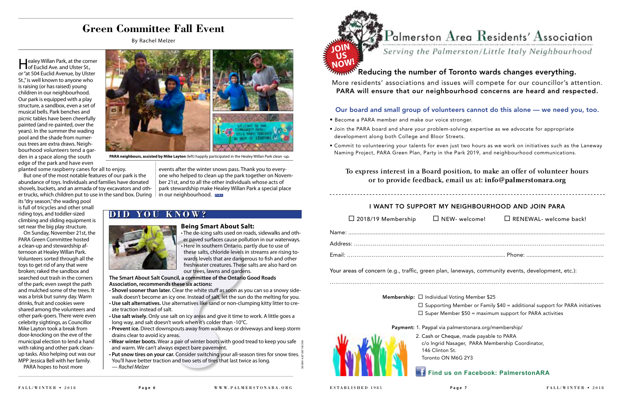**Healey Willan Park, at the corner of Euclid Ave. and Ulster St.,** or "at 504 Euclid Avenue, by Ulster St.," is well known to anyone who is raising (or has raised) young children in our neighbourhood. Our park is equipped with a play structure, a sandbox, even a set of musical bells. Park benches and picnic tables have been cheerfully painted (and re-painted, over the years). In the summer the wading pool and the shade from numerous trees are extra draws. Neighbourhood volunteers tend a garden in a space along the south edge of the park and have even

planted some raspberry canes for all to enjoy.

But one of the most notable features of our park is the abundance of toys. Individuals and families have donated shovels, buckets, and an armada of toy excavators and other trucks, which children put to use in the sand box. During

its "dry season," the wading pool is full of tricycles and other small riding toys, and toddler-sized climbing and sliding equipment is set near the big play structure.

On Sunday, November 21st, the PARA Green Committee hosted a clean-up and stewardship afternoon at Healey Willan Park. Volunteers sorted through all the toys to get rid of any that were broken; raked the sandbox and searched out trash in the corners of the park; even swept the path and mulched some of the trees. It was a brisk but sunny day. Warm drinks, fruit and cookies were shared among the volunteers and other park-goers. There were even celebrity sightings, as Councillor Mike Layton took a break from door-knocking on the eve of the municipal election to lend a hand with raking and other park cleanup tasks. Also helping out was our MPP Jessica Bell with her family.

## To express interest in a board position, to make an offer of volunteer hours or to provide feedback, email us at: **info@palmerstonara.org**

PARA hopes to host more

## **Find us on Facebook: PalmerstonARA**

## ${\bf P}$ almerston  ${\bf A}$ rea  ${\bf R}$ esidents'  ${\bf A}$ ssociation

Serving the Palmerston/Little Italy Neighbourhood

• Commit to volunteering your talents for even just two hours as we work on initiatives such as the Laneway

• Here in southern Ontario, p<br>these salts, chloride levels i<br>wards levels that are dange<br>freshwater creatures. These<br>our trees, lawns and garder<br>Salt Council, a committee of the Ontario<br>nmends these six actions:<br>an later. . The de-icing salts used on roads, sidewalks and other paved surfaces cause pollution in our waterways. • Here in southern Ontario, partly due to use of these salts, chloride levels in streams are rising towards levels that are dangerous to fsh and other freshwater creatures. These salts are also hard on our trees, lawns and gardens.



### My Reducing the number of Toronto wards changes everything.

More residents' associations and issues will compete for our councillor's attention. PARA will ensure that our neighbourhood concerns are heard and respected.

#### Our board and small group of volunteers cannot do this alone — we need you, too.

- Become a PARA member and make our voice stronger.
- Join the PARA board and share your problem-solving expertise as we advocate for appropriate development along both College and Bloor Streets.
- Naming Project, PARA Green Plan, Party in the Park 2019, and neighbourhood communications.

- **. Shovel sooner than later.** Clear the white stuff as soon as you can so a snowy sidewalk doesn't become an icy one. Instead of salt, let the sun do the melting for you.
- t**Use salt alternatives.** Use alternatives like sand or non-clumping kitty litter to create traction instead of salt.
- **· Use salt wisely.** Only use salt on icy areas and give it time to work. A little goes a long way, and salt doesn't work when it's colder than -10°C.
- **· Prevent ice.** Direct downspouts away from walkways or driveways and keep storm drains clear to avoid icy areas.
- t **Wear winter boots.** Wear a pair of winter boots with good tread to keep you safe and warm. We can't always expect bare pavement.
- **Put snow tires on your car.** Consider switching your all-season tires for snow tires. You'll have better traction and two sets of tires that last twice as long. RACHEL MELZER (ABOVE

#### I WANT TO SUPPORT MY NEIGHBOURHOOD AND JOIN PARA

| $\Box$ 2018/19 Membership | $\Box$ |
|---------------------------|--------|
|---------------------------|--------|

| $\Box$ 2018/19 Membership $\Box$ NEW- welcome!                                                    |                                                                | $\Box$ RENEWAL- welcome back!                                                     |
|---------------------------------------------------------------------------------------------------|----------------------------------------------------------------|-----------------------------------------------------------------------------------|
|                                                                                                   |                                                                |                                                                                   |
|                                                                                                   |                                                                |                                                                                   |
|                                                                                                   |                                                                |                                                                                   |
| Your areas of concern (e.g., traffic, green plan, laneways, community events, development, etc.): |                                                                |                                                                                   |
|                                                                                                   | <b>Membership:</b> $\Box$ Individual Voting Member \$25        |                                                                                   |
|                                                                                                   |                                                                | $\Box$ Supporting Member or Family \$40 = additional support for PARA initiatives |
|                                                                                                   | $\Box$ Super Member \$50 = maximum support for PARA activities |                                                                                   |
|                                                                                                   | Payment: 1. Paypal via palmerstonara.org/membership/           |                                                                                   |
|                                                                                                   | 2. Cash or Cheque, made payable to PARA                        |                                                                                   |
|                                                                                                   | c/o Ingrid Nasager, PARA Membership Coordinator,               |                                                                                   |
|                                                                                                   | 146 Clinton St.<br>Toronto ON M6G 2Y3                          |                                                                                   |
|                                                                                                   |                                                                |                                                                                   |

| $\square$ 2018/19 Membership | $\square$ NEW- welcome!                                                                                                              | $\Box$ RENEWAL- welcome back!                                                                                                                       |
|------------------------------|--------------------------------------------------------------------------------------------------------------------------------------|-----------------------------------------------------------------------------------------------------------------------------------------------------|
|                              |                                                                                                                                      |                                                                                                                                                     |
|                              |                                                                                                                                      |                                                                                                                                                     |
|                              |                                                                                                                                      | eas of concern (e.g., traffic, green plan, laneways, community events, development, etc.):                                                          |
|                              | <b>Membership:</b> $\Box$ Individual Voting Member \$25                                                                              |                                                                                                                                                     |
|                              |                                                                                                                                      | $\Box$ Supporting Member or Family \$40 = additional support for PARA initiatives<br>$\Box$ Super Member \$50 = maximum support for PARA activities |
|                              | Payment: 1. Paypal via palmerstonara.org/membership/                                                                                 |                                                                                                                                                     |
|                              | 2. Cash or Cheque, made payable to PARA<br>c/o Ingrid Nasager, PARA Membership Coordinator,<br>146 Clinton St.<br>Toronto ON M6G 2Y3 |                                                                                                                                                     |

events after the winter snows pass. Thank you to everyone who helped to clean up the park together on November 21st, and to all the other individuals whose acts of park stewardship make Healey Willan Park a special place in our neighbourhood. **PARA**

### **DID YOU KNOW?**



#### **Being Smart About Salt:**

**The Smart About Salt Council, a committee of the Ontario Good Roads Association, recommends these six actions:**

— *Rachel Melzer*



**PARA neighbours, assisted by Mike Layton** (left) happily participated in the Healey Willan Park clean -up.

## **Green Committee Fall Event**

By Rachel Melzer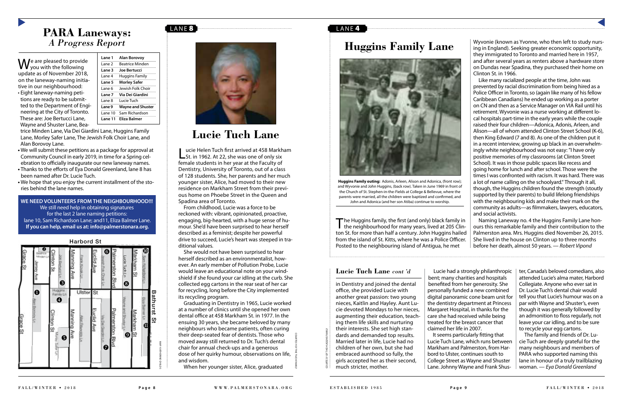## PARA Laneways: *A Progress Report*

## **Huggins Family Lane**

We are pleased to provide<br>
Wyou with the following update as of November 2018, on the laneway-naming initiative in our neighbourhood:



• Eight laneway-naming petitions are ready to be submitted to the Department of Engineering at the City of Toronto. These are: Joe Bertucci Lane, Wayne and Shuster Lane, Bea-

- We will submit these petitions as a package for approval at Community Council in early 2019, in time for a Spring celebration to officially inaugurate our new laneway names.
- **Thanks to the efforts of Eya Donald Greenland, lane 8 has** been named after Dr. Lucie Tuch.
- We hope that you enjoy the current installment of the stories behind the lane names.

trice Minden Lane, Via Dei Giardini Lane, Huggins Family Lane, Morley Safer Lane, The Jewish Folk Choir Lane, and Alan Borovoy Lane.

> The Huggins family, the first (and only) black family in the neighbourhood for many years, lived at 205 Clinton St. for more than half a century. John Huggins hailed from the island of St. Kitts, where he was a Police Officer. Posted to the neighbouring island of Antigua, he met

**WE NEED VOLUNTEERS FROM THE NEIGHBOURHOOD!!!** We still need help in obtaining signatures for the last 2 lane naming petitions: lane 10, Sam Richardson Lane; and11, Eliza Balmer Lane. **If you can help, email us at: info@palmerstonara.org.**

Wyvonie (known as Yvonne, who then left to study nursing in England). Seeking greater economic opportunity, they immigrated to Toronto and married here in 1957, and after several years as renters above a hardware store on Dundas near Spadina, they purchased their home on Clinton St. in 1966.

#### Lucie Helen Tuch first arrived at 458 Markham<br>
St. in 1962. At 22, she was one of only six female students in her year at the Faculty of Dentistry, University of Toronto, out of a class of 128 students. She, her parents and her much younger sister, Alice, had moved to their new residence on Markham Street from their previous home on Phoebe Street in the Queen and Spadina area of Toronto.

Like many racialized people at the time, John was prevented by racial discrimination from being hired as a Police Officer in Toronto, so (again like many of his fellow Caribbean Canadians) he ended up working as a porter on CN and then as a Service Manager on VIA Rail until his retirement. Wyvonie was a nurse working at diferent local hospitals part-time in the early years while the couple raised their four children—Adonica, Adonis, Arleen, and Alison—all of whom attended Clinton Street School (K-6), then King Edward (7 and 8). As one of the children put it in a recent interview, growing up black in an overwhelmingly white neighbourhood was not easy: "I have only positive memories of my classrooms (at Clinton Street School). It was in those public spaces like recess and going home for lunch and after school. Those were the times I was confronted with racism. It was hard. There was a lot of name calling on the schoolyard." Through it all, though, the Huggins children found the strength (stoutly supported by their parents) to build lifelong friendships with the neighbouring kids and make their mark on the community as adults—as flmmakers, lawyers, educators, and social activists.

Naming Laneway no. 4 the Huggins Family Lane honours this remarkable family and their contribution to the Palmerston area. Mrs. Huggins died November 26, 2015. She lived in the house on Clinton up to three months before her death, almost 50 years. — *Robert Vipond*

From childhood, Lucie was a force to be reckoned with: vibrant, opinionated, proactive, engaging, big-hearted, with a huge sense of humour. She'd have been surprised to hear herself described as a feminist; despite her powerful drive to succeed, Lucie's heart was steeped in traditional values.

She would not have been surprised to hear herself described as an environmentalist, however. An early member of Pollution Probe, Lucie would leave an educational note on your windshield if she found your car idling at the curb. She collected egg cartons in the rear seat of her car for recycling, long before the City implemented its recycling program.

Graduating in Dentistry in 1965, Lucie worked at a number of clinics until she opened her own dental office at 458 Markham St. in 1977. In the ensuing 30 years, she became beloved by many neighbours who became patients, often curing their deep-seated fear of dentists. Those who moved away still returned to Dr. Tuch's dental chair for annual check-ups and a generous dose of her quirky humour, observations on life, and wisdom.

When her younger sister, Alice, graduated

#### LANE<sup>4</sup>



**Huggins Family outing:** Adonis, Arleen, Alison and Adonica, (front row); and Wyvonie and John Huggins, (back row). Taken in June 1969 in front of the Church of St. Stephen-in-the-Fields at College & Bellevue, where the parents were married, all the children were baptized and confrmed, and John and Adonica (and her son Atiba) continue to worship.

in Dentistry and joined the dental office, she provided Lucie with another great passion: two young nieces, Kaitlin and Hayley. Aunt Lucie devoted Mondays to her nieces, augmenting their education, teaching them life skills and nurturing their interests. She set high standards and demanded top results. Married later in life, Lucie had no children of her own, but she had embraced aunthood so fully, the girls accepted her as their second, much stricter, mother.

Lucie had a strongly philanthropic bent; many charities and hospitals benefted from her generosity. She personally funded a new combined digital panoramic cone beam unit for the dentistry department at Princess Margaret Hospital, in thanks for the care she had received while being treated for the breast cancer that claimed her life in 2007.

It seems particularly ftting that Lucie Tuch Lane, which runs between Markham and Palmerston, from Harbord to Ulster, continues south to College Street as Wayne and Shuster Lane. Johnny Wayne and Frank Shuster, Canada's beloved comedians, also attended Lucie's alma mater, Harbord Collegiate. Anyone who ever sat in Dr. Lucie Tuch's dental chair would tell you that Lucie's humour was on a par with Wayne and Shuster's, even though it was generally followed by an admonition to floss regularly, not leave your car idling, and to be sure to recycle your egg cartons.

The family and friends of Dr. Lucie Tuch are deeply grateful for the many neighbours and members of PARA who supported naming this lane in honour of a truly trailblazing woman. — *Eya Donald Greenland*



#### **Lucie Tuch Lane** *cont 'd*

COURTESY OF THE TUCH FAMILY

COURTESY OF THE HUGGINS FAMILY

| Lane 1   | Alan Borovoy             |
|----------|--------------------------|
| l ane 2  | <b>Beatrice Minden</b>   |
| Lane 3   | Joe Bertucci             |
| Lane 4   | <b>Huggins Family</b>    |
| Lane 5   | <b>Morley Safer</b>      |
| l ane 6  | Jewish Folk Choir        |
| Lane 7   | Via Dei Giardini         |
| l ane 8  | Lucie Tuch               |
| Lane 9   | <b>Wayne and Shuster</b> |
| l ane 10 | Sam Richardson           |
| Lane 11  | Eliza Balmer             |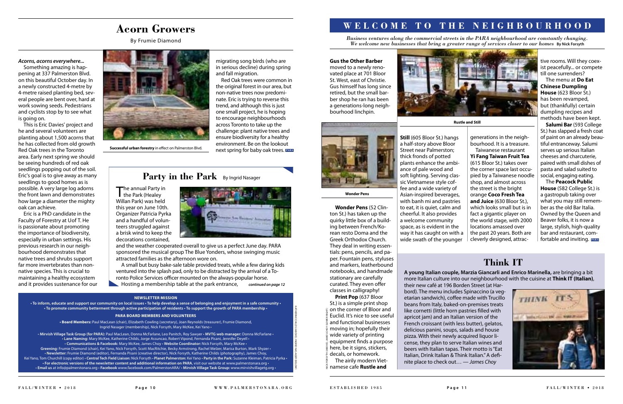#### *Acorns, acorns everywhere...*

Something amazing is happening at 337 Palmerston Blvd. on this beautiful October day. In a newly constructed 4-metre by 4-metre raised planting bed, several people are bent over, hard at work sowing seeds. Pedestrians and cyclists stop by to see what is going on.

This is Eric Davies' project and he and several volunteers are planting about 1,500 acorns that he has collected from old growth Red Oak trees in the Toronto area. Early next spring we should be seeing hundreds of red oak seedlings popping out of the soil. Eric's goal is to give away as many seedlings to good homes as is possible. A very large log adorns the front lawn and demonstrates how large a diameter the mighty oak can achieve.

 $\blacksquare$  he annual Party in the Park (Healey Willan Park) was held this year on June 10th. Organizer Patricia Pyrka and a handful of volunteers struggled against a brisk wind to keep the decorations contained,



Eric is a PhD candidate in the Faculty of Forestry at Uof T. He is passionate about promoting the importance of biodiversity, especially in urban settings. His previous research in our neighbourhood demonstrates that native trees and shrubs support far more invertebrates than nonnative species. This is crucial to maintaining a healthy ecosystem and it provides sustenance for our



**Successful urban forestry** in effect on Palmerston Blvd.

A small but busy bake-sale table provided treats, while a few daring kids ventured into the splash pad, only to be distracted by the arrival of a Toronto Police Services officer mounted on the always-popular horse.

#### migrating song birds (who are in serious decline) during spring and fall migration.

and the weather cooperated overall to give us a perfect June day. PARA sponsored the musical group The Blue Yonders, whose swinging music attracted families as the afternoon wore on.

The **Peacock Public House** (582 College St.) is a gastropub taking over what you may still remember as the old Bar Italia. Owned by the Queen and Beaver folks, it is now a large, stylish, high-quality bar and restaurant, com**fortable and inviting. PARA** 

#### **Gus the Other Barber**

moved to a newly renovated place at 701 Bloor St. West, east of Christie. Gus himself has long since retired, but the small barber shop he ran has been a generations-long neighbourhood linchpin.



**Wonder Pens** (52 Clinton St.) has taken up the quirky little box of a building between French/Korean resto Doma and the Greek Orthodox Church. They deal in writing essentials: pens, pencils, and paper. Fountain pens, styluses and markers, leatherbound notebooks, and handmade stationary are carefully curated. They even offer classes in calligraphy!

t**Newsletter:** Frumie Diamond (editor), Fernanda Pisani (creative director), Nick Forsyth, Katherine Childs (photography), James Choy, Kei Yano, Tom Churchill (copy editor) **• Central Tech Field Liaison:** Nick Forsyth **• Planet Palmerston:** Kei Yano **• Party in the Park:** Suzanne Kleiman, Patricia Pyrka • **t** For electronic versions of the newsletter content and additional information on PARA, visit our website at www.palmerstonara.org ·  $\cdot$  Email us at info@palmerstonara.org  $\cdot$  Facebook www.facebook.com/PalmerstonARA/  $\cdot$  Mirvish Village Task Group: www.mirvishvillagetg.org

The airily modern Vietnamese cafe **Rustle and** 

 $\tilde{\phantom{a}}$ BELOW **Still** (605 Bloor St.) hangs

a half-story above Bloor Street near Palmerston; thick fronds of potted plants enhance the ambiance of pale wood and soft lighting. Serving classic Vietnamese style coffee and a wide variety of Asian-inspired beverages, with banh mi and pastries to eat, it is quiet, calm and cheerful. It also provides a welcome community space, as is evident in the way it has caught on with a wide swath of the younger

**Hosting a membership table at the park entrance,** *continued on page 12* *Business ventures along the commercial streets in the PARA neighbourhood are constantly changing. We welcome new businesses that bring a greater range of services closer to our homes By Nick Forsyth* 

> generations in the neighbourhood. It is a treasure. Taiwanese restaurant **Yi Fang Taiwan Fruit Tea** (615 Bloor St.) takes over the corner space last occupied by a Taiwanese noodle shop, and almost across the street is the bright orange **Coco Fresh Tea and Juice** (630 Bloor St.), which looks small but is in fact a gigantic player on the world stage, with 2000 locations amassed over the past 20 years. Both are cleverly designed, attrac

tive rooms. Will they coexist peacefully... or compete till one surrenders?

Red Oak trees were common in the original forest in our area, but non-native trees now predominate. Eric is trying to reverse this trend, and although this is just one small project, he is hoping to encourage neighbourhoods across Toronto to take up the challenge: plant native trees and ensure biodiversity for a healthy environment. Be on the lookout next spring for baby oak trees. **PARA**

## Party in the Park By Ingrid Nasager

The menu at **Do Eat Chinese Dumpling House** (623 Bloor St.) has been revamped, but (thankfully) certain dumpling recipes and methods have been kept.

**Salumi Bar** (593 College St.) has slapped a fresh coat of paint on an already beautiful entranceway. Salumi serves up serious Italian cheeses and charcuterie, paired with small dishes of pasta and salad suited to social, engaging eating.

**Print Pop** (637 Bloor St.) is a simple print shop on the corner of Bloor and Euclid. It's nice to see useful and functional businesses moving in; hopefully their wide variety of printing equipment fnds a purpose here, be it signs, stickers, decals, or homework. NICK FORSYTH (ABOVE); JAMES CHOY (LOWER RIGHT)

#### **NEWSLETTER MISSION**

to inform, educate and support our community on local issues  $\cdot$  To help develop a sense of belonging and enjoyment in a safe community  $\cdot$ **t5** To promote community betterment through active participation of residents **TO** support the growth of PARA membership  $\cdot$ 

#### **PARA BOARD MEMBERS AND VOLUNTEERS**

**· Board Members:** Paul MacLean (chair), Elizabeth Cowling (secretary), Joan Reynolds (treasurer), Frumie Diamond, Ingrid Nasager (membership), Nick Forsyth, Mary McKee, Kei Yano •

. Mirvish Village Task Group (for PARA): Paul MacLean, Donna McFarlane, Leo Panitch, Roy Sawyer · MVTG web manager: Donna McFarlane · . Lane Naming: Mary McKee, Katherine Childs, Jorge Assuncao, Robert Vipond, Fernanda Pisani, Jennifer Deyell . . Communications & Facebook: Mary McKee, James Choy . Website Coordinator: Nick Forsyth, Mary McKee . Greening: Frumie Diamond (chair), Kei Yano, Nick Forsyth, Scott MacRitchie, Becky Armstrong, Rachel Melzer, Marisa Burton, Mark Shyzer •

## **WELCOME TO THE NEIGHBOURHOOD**

#### **Wonder Pens**

**Rustle and Still**



KATHERINE CHILDS

ABOVE

; INGRID NASAGER

## **Think IT**

**A young Italian couple, Marzia Giancarli and Enrico Marinella,** are bringing a bit more Italian culture into our neighbourhood with the cuisine at **Think IT (Italian)**,



their new café at 196 Borden Street (at Harbord). The menu includes Spinaccino (a vegetarian sandwich), cofee made with Trucillo beans from Italy, baked-on-premises treats like cornetti (little horn pastries flled with apricot jam) and an Italian version of the French croissant (with less butter), gelatos, delicious panini, soups, salads and house pizza. With their newly acquired liquor license, they plan to serve Italian wines and beers with Italian tapas. Their motto is "Eat Italian, Drink Italian & Think Italian." A defnite place to check out… — *James Choy*

## **Acorn Growers**

By Frumie Diamond